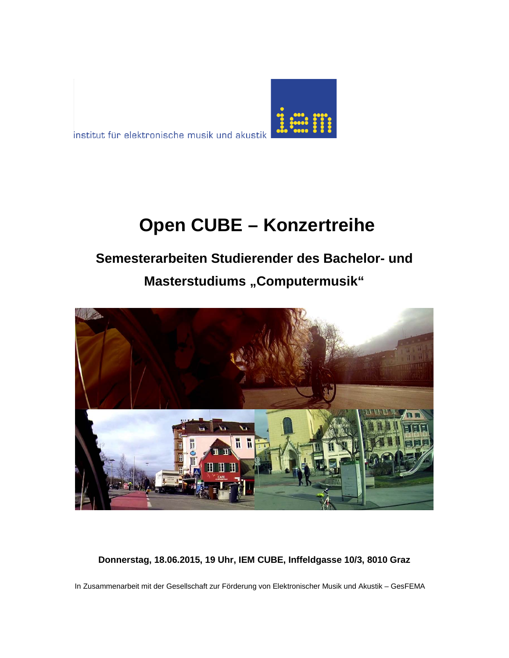

institut für elektronische musik und akustik

# **Open CUBE – Konzertreihe**

## **Semesterarbeiten Studierender des Bachelor- und Masterstudiums "Computermusik"**



**Donnerstag, 18.06.2015, 19 Uhr, IEM CUBE, Inffeldgasse 10/3, 8010 Graz**

In Zusammenarbeit mit der Gesellschaft zur Förderung von Elektronischer Musik und Akustik – GesFEMA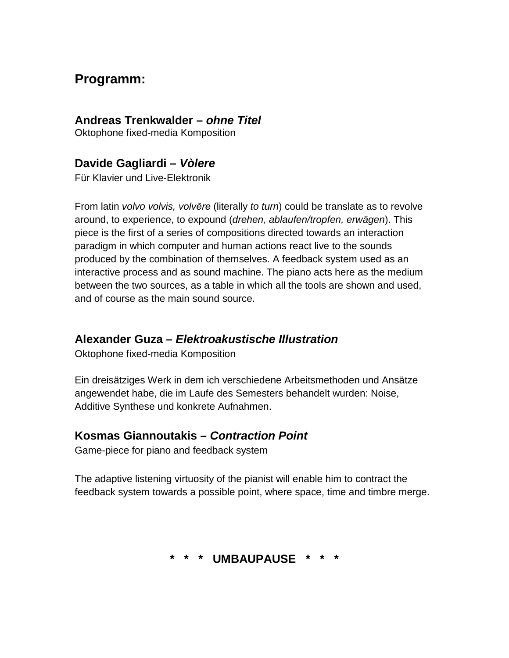## **Programm:**

#### **Andreas Trenkwalder –** *ohne Titel*

Oktophone fixed-media Komposition

#### **Davide Gagliardi –** *Vòlere*

Für Klavier und Live-Elektronik

From latin *volvo volvis, volvĕre* (literally *to turn*) could be translate as to revolve around, to experience, to expound (*drehen, ablaufen/tropfen, erwägen*). This piece is the first of a series of compositions directed towards an interaction paradigm in which computer and human actions react live to the sounds produced by the combination of themselves. A feedback system used as an interactive process and as sound machine. The piano acts here as the medium between the two sources, as a table in which all the tools are shown and used, and of course as the main sound source.

#### **Alexander Guza –** *Elektroakustische Illustration*

Oktophone fixed-media Komposition

Ein dreisätziges Werk in dem ich verschiedene Arbeitsmethoden und Ansätze angewendet habe, die im Laufe des Semesters behandelt wurden: Noise, Additive Synthese und konkrete Aufnahmen.

#### **Kosmas Giannoutakis –** *Contraction Point*

Game-piece for piano and feedback system

The adaptive listening virtuosity of the pianist will enable him to contract the feedback system towards a possible point, where space, time and timbre merge.

#### **\* \* \* UMBAUPAUSE \* \* \***